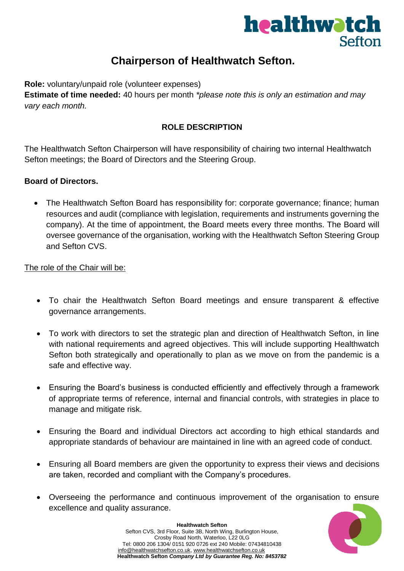

# **Chairperson of Healthwatch Sefton.**

**Role:** voluntary/unpaid role (volunteer expenses)

**Estimate of time needed:** 40 hours per month *\*please note this is only an estimation and may vary each month.* 

#### **ROLE DESCRIPTION**

The Healthwatch Sefton Chairperson will have responsibility of chairing two internal Healthwatch Sefton meetings; the Board of Directors and the Steering Group.

#### **Board of Directors.**

• The Healthwatch Sefton Board has responsibility for: corporate governance; finance; human resources and audit (compliance with legislation, requirements and instruments governing the company). At the time of appointment, the Board meets every three months. The Board will oversee governance of the organisation, working with the Healthwatch Sefton Steering Group and Sefton CVS.

The role of the Chair will be:

- To chair the Healthwatch Sefton Board meetings and ensure transparent & effective governance arrangements.
- To work with directors to set the strategic plan and direction of Healthwatch Sefton, in line with national requirements and agreed objectives. This will include supporting Healthwatch Sefton both strategically and operationally to plan as we move on from the pandemic is a safe and effective way.
- Ensuring the Board's business is conducted efficiently and effectively through a framework of appropriate terms of reference, internal and financial controls, with strategies in place to manage and mitigate risk.
- Ensuring the Board and individual Directors act according to high ethical standards and appropriate standards of behaviour are maintained in line with an agreed code of conduct.
- Ensuring all Board members are given the opportunity to express their views and decisions are taken, recorded and compliant with the Company's procedures.
- Overseeing the performance and continuous improvement of the organisation to ensure excellence and quality assurance.

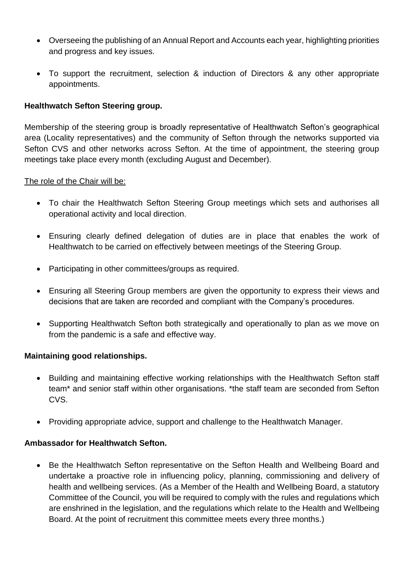- Overseeing the publishing of an Annual Report and Accounts each year, highlighting priorities and progress and key issues.
- To support the recruitment, selection & induction of Directors & any other appropriate appointments.

### **Healthwatch Sefton Steering group.**

Membership of the steering group is broadly representative of Healthwatch Sefton's geographical area (Locality representatives) and the community of Sefton through the networks supported via Sefton CVS and other networks across Sefton. At the time of appointment, the steering group meetings take place every month (excluding August and December).

#### The role of the Chair will be:

- To chair the Healthwatch Sefton Steering Group meetings which sets and authorises all operational activity and local direction.
- Ensuring clearly defined delegation of duties are in place that enables the work of Healthwatch to be carried on effectively between meetings of the Steering Group.
- Participating in other committees/groups as required.
- Ensuring all Steering Group members are given the opportunity to express their views and decisions that are taken are recorded and compliant with the Company's procedures.
- Supporting Healthwatch Sefton both strategically and operationally to plan as we move on from the pandemic is a safe and effective way.

#### **Maintaining good relationships.**

- Building and maintaining effective working relationships with the Healthwatch Sefton staff team\* and senior staff within other organisations. \*the staff team are seconded from Sefton CVS.
- Providing appropriate advice, support and challenge to the Healthwatch Manager.

#### **Ambassador for Healthwatch Sefton.**

• Be the Healthwatch Sefton representative on the Sefton Health and Wellbeing Board and undertake a proactive role in influencing policy, planning, commissioning and delivery of health and wellbeing services. (As a Member of the Health and Wellbeing Board, a statutory Committee of the Council, you will be required to comply with the rules and regulations which are enshrined in the legislation, and the regulations which relate to the Health and Wellbeing Board. At the point of recruitment this committee meets every three months.)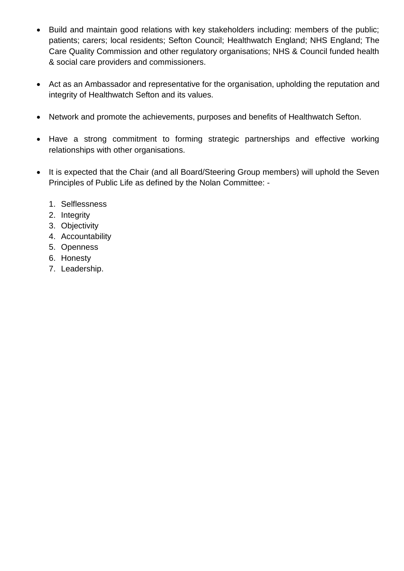- Build and maintain good relations with key stakeholders including: members of the public; patients; carers; local residents; Sefton Council; Healthwatch England; NHS England; The Care Quality Commission and other regulatory organisations; NHS & Council funded health & social care providers and commissioners.
- Act as an Ambassador and representative for the organisation, upholding the reputation and integrity of Healthwatch Sefton and its values.
- Network and promote the achievements, purposes and benefits of Healthwatch Sefton.
- Have a strong commitment to forming strategic partnerships and effective working relationships with other organisations.
- It is expected that the Chair (and all Board/Steering Group members) will uphold the Seven Principles of Public Life as defined by the Nolan Committee: -
	- 1. Selflessness
	- 2. Integrity
	- 3. Objectivity
	- 4. Accountability
	- 5. Openness
	- 6. Honesty
	- 7. Leadership.